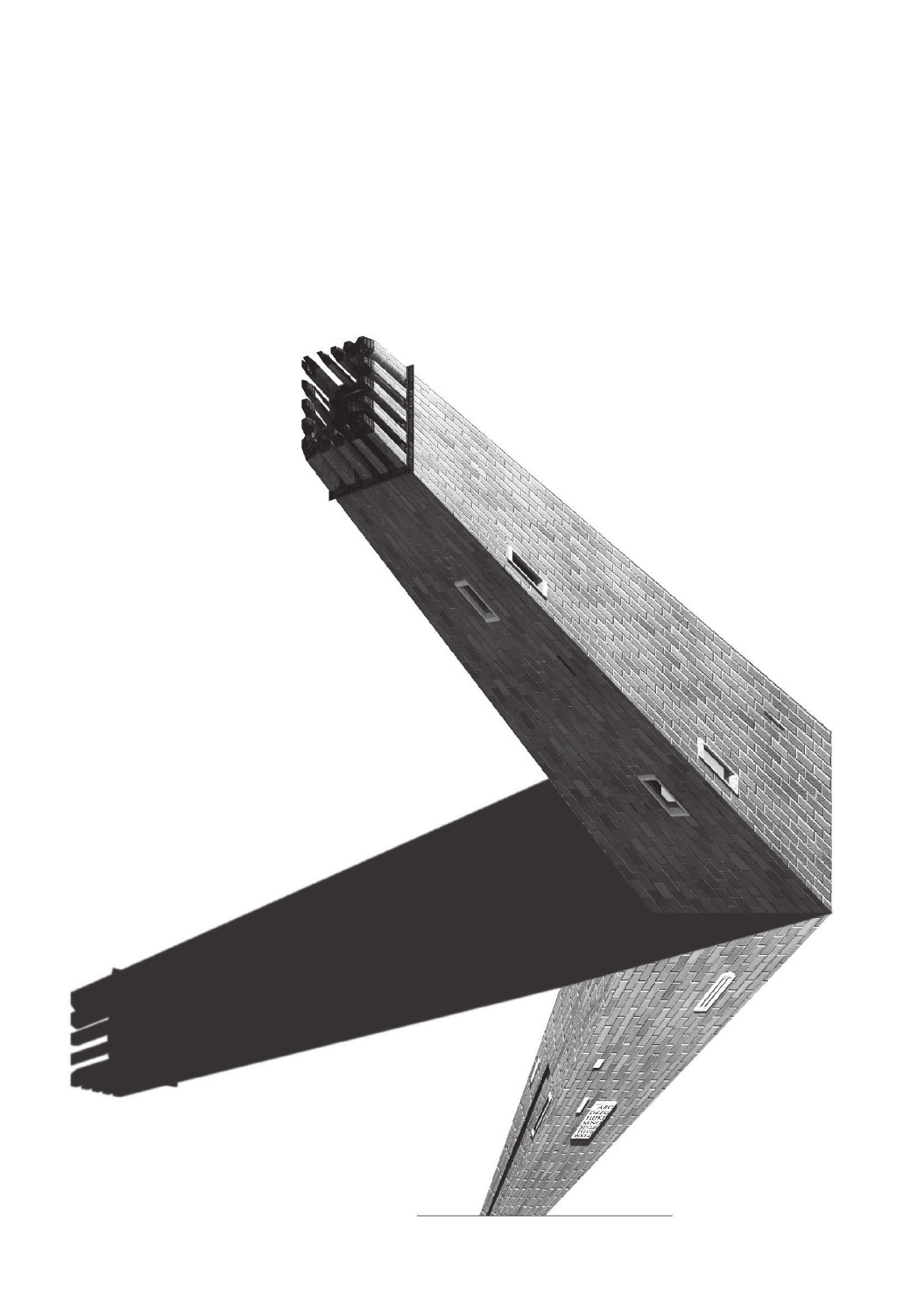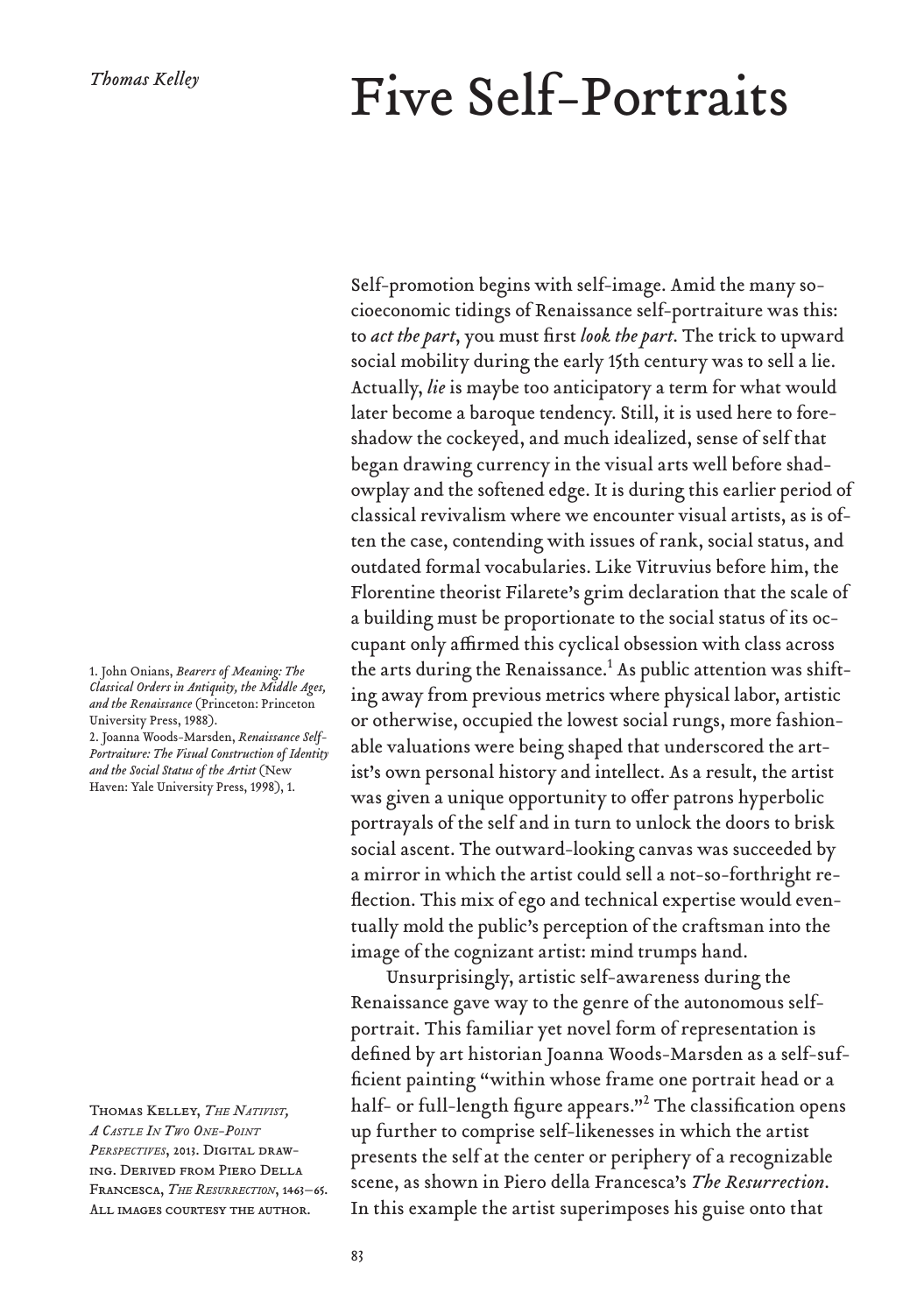## Five Self-Portraits *Thomas Kelley*

Self-promotion begins with self-image. Amid the many socioeconomic tidings of Renaissance self-portraiture was this: to *act the part*, you must first *look the part*. The trick to upward social mobility during the early 15th century was to sell a lie. Actually, *lie* is maybe too anticipatory a term for what would later become a baroque tendency. Still, it is used here to foreshadow the cockeyed, and much idealized, sense of self that began drawing currency in the visual arts well before shadowplay and the softened edge. It is during this earlier period of classical revivalism where we encounter visual artists, as is often the case, contending with issues of rank, social status, and outdated formal vocabularies. Like Vitruvius before him, the Florentine theorist Filarete's grim declaration that the scale of a building must be proportionate to the social status of its occupant only affirmed this cyclical obsession with class across the arts during the Renaissance. $^{\rm 1}$  As public attention was shifting away from previous metrics where physical labor, artistic or otherwise, occupied the lowest social rungs, more fashionable valuations were being shaped that underscored the artist's own personal history and intellect. As a result, the artist was given a unique opportunity to offer patrons hyperbolic portrayals of the self and in turn to unlock the doors to brisk social ascent. The outward-looking canvas was succeeded by a mirror in which the artist could sell a not-so-forthright reflection. This mix of ego and technical expertise would eventually mold the public's perception of the craftsman into the image of the cognizant artist: mind trumps hand.

Unsurprisingly, artistic self-awareness during the Renaissance gave way to the genre of the autonomous selfportrait. This familiar yet novel form of representation is defined by art historian Joanna Woods-Marsden as a self-sufficient painting "within whose frame one portrait head or a half- or full-length figure appears." $^2$  The classification opens up further to comprise self-likenesses in which the artist presents the self at the center or periphery of a recognizable scene, as shown in Piero della Francesca's *The Resurrection*. In this example the artist superimposes his guise onto that

1. John Onians, *Bearers of Meaning: The Classical Orders in Antiquity, the Middle Ages, and the Renaissance* (Princeton: Princeton University Press, 1988).

2. Joanna Woods-Marsden, *Renaissance Self-Portraiture: The Visual Construction of Identity and the Social Status of the Artist* (New Haven: Yale University Press, 1998), 1.

Thomas Kelley, *The Nativist, A Castle In Two One-Point Perspectives*, 2013. Digital drawing. Derived from Piero Della Francesca, *The Resurrection*, 1463–65. ALL IMAGES COURTESY THE AUTHOR.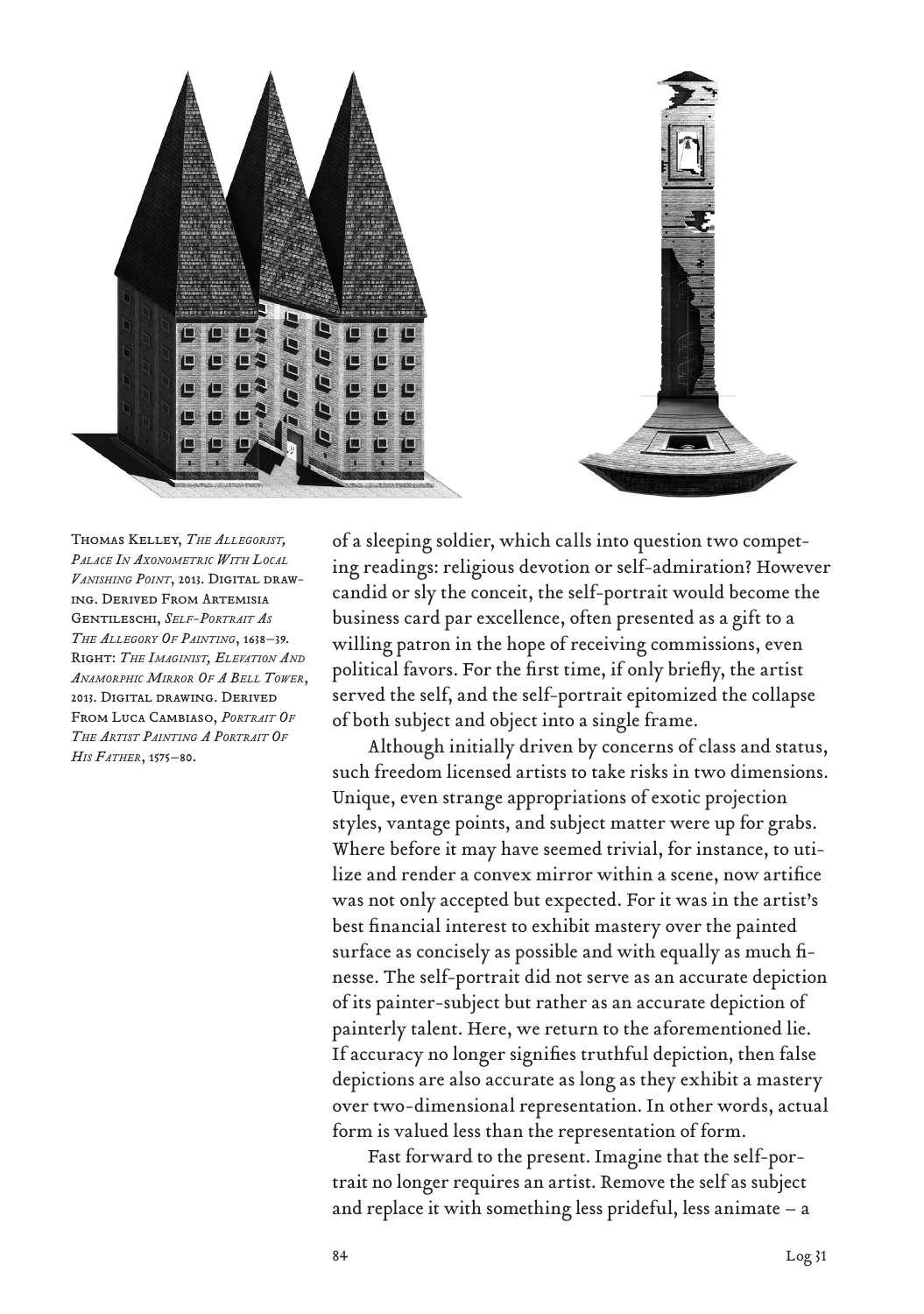

Thomas Kelley, *The Allegorist, Palace In Axonometric With Local Vanishing Point*, 2013. Digital drawing. Derived From Artemisia Gentileschi, *Self-Portrait As The Allegory Of Painting*, 1638–39. Right: *The Imaginist, Elevation And Anamorphic Mirror Of A Bell Tower*, 2013. Digital drawing. Derived From Luca Cambiaso, *Portrait Of The Artist Painting A Portrait Of His Father*, 1575–80.

of a sleeping soldier, which calls into question two competing readings: religious devotion or self-admiration? However candid or sly the conceit, the self-portrait would become the business card par excellence, often presented as a gift to a willing patron in the hope of receiving commissions, even political favors. For the first time, if only briefly, the artist served the self, and the self-portrait epitomized the collapse of both subject and object into a single frame.

Although initially driven by concerns of class and status, such freedom licensed artists to take risks in two dimensions. Unique, even strange appropriations of exotic projection styles, vantage points, and subject matter were up for grabs. Where before it may have seemed trivial, for instance, to utilize and render a convex mirror within a scene, now artifice was not only accepted but expected. For it was in the artist's best financial interest to exhibit mastery over the painted surface as concisely as possible and with equally as much finesse. The self-portrait did not serve as an accurate depiction of its painter-subject but rather as an accurate depiction of painterly talent. Here, we return to the aforementioned lie. If accuracy no longer signifies truthful depiction, then false depictions are also accurate as long as they exhibit a mastery over two-dimensional representation. In other words, actual form is valued less than the representation of form.

Fast forward to the present. Imagine that the self-portrait no longer requires an artist. Remove the self as subject and replace it with something less prideful, less animate – a